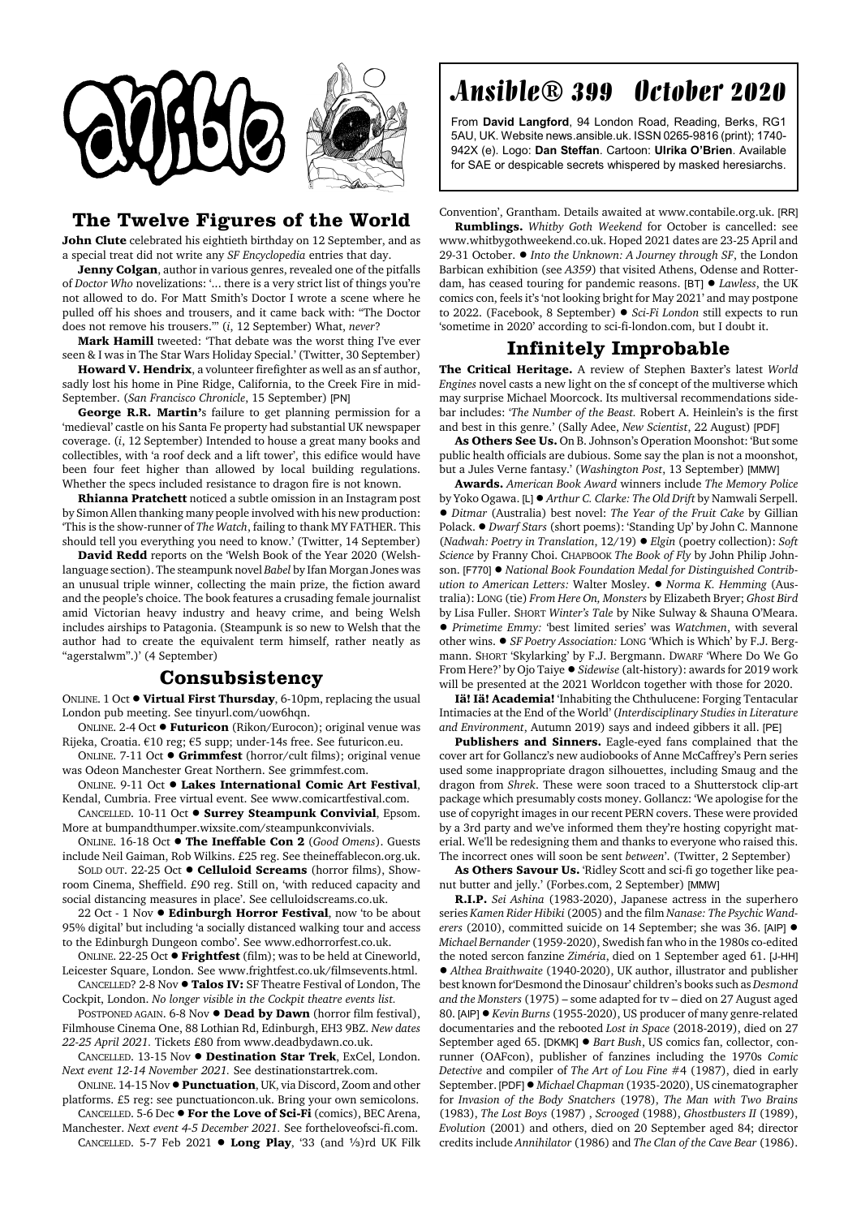



## **The Twelve Figures of the World**

**John Clute** celebrated his eightieth birthday on 12 September, and as a special treat did not write any *SF Encyclopedia* entries that day.

**Jenny Colgan**, author in various genres, revealed one of the pitfalls of *Doctor Who* novelizations: '... there is a very strict list of things you're not allowed to do. For Matt Smith's Doctor I wrote a scene where he pulled off his shoes and trousers, and it came back with: "The Doctor does not remove his trousers."' (*i*, 12 September) What, *never*?

**Mark Hamill** tweeted: 'That debate was the worst thing I've ever seen & I was in The Star Wars Holiday Special.' (Twitter, 30 September)

**Howard V. Hendrix**, a volunteer firefighter as well as an sf author, sadly lost his home in Pine Ridge, California, to the Creek Fire in mid-September. (*San Francisco Chronicle*, 15 September) [PN]

**George R.R. Martin'**s failure to get planning permission for a 'medieval' castle on his Santa Fe property had substantial UK newspaper coverage. (*i*, 12 September) Intended to house a great many books and collectibles, with 'a roof deck and a lift tower', this edifice would have been four feet higher than allowed by local building regulations. Whether the specs included resistance to dragon fire is not known.

**Rhianna Pratchett** noticed a subtle omission in an Instagram post by Simon Allen thanking many people involved with his new production: 'This is the show-runner of *The Watch*, failing to thank MY FATHER. This should tell you everything you need to know.' (Twitter, 14 September)

**David Redd** reports on the 'Welsh Book of the Year 2020 (Welshlanguage section). The steampunk novel *Babel* by Ifan Morgan Jones was an unusual triple winner, collecting the main prize, the fiction award and the people's choice. The book features a crusading female journalist amid Victorian heavy industry and heavy crime, and being Welsh includes airships to Patagonia. (Steampunk is so new to Welsh that the author had to create the equivalent term himself, rather neatly as "agerstalwm".)' (4 September)

## **Consubsistency**

ONLINE. 1 Oct  $\bullet$  Virtual First Thursday, 6-10pm, replacing the usual London pub meeting. See tinyurl.com/uow6hqn.

ONLINE. 2-4 Oct ! **Futuricon** (Rikon/Eurocon); original venue was Rijeka, Croatia. €10 reg; €5 supp; under-14s free. See futuricon.eu.

ONLINE. 7-11 Oct ! **Grimmfest** (horror/cult films); original venue was Odeon Manchester Great Northern. See grimmfest.com.

ONLINE. 9-11 Oct . Lakes International Comic Art Festival, Kendal, Cumbria. Free virtual event. See www.comicartfestival.com.

CANCELLED. 10-11 Oct ! **Surrey Steampunk Convivial**, Epsom. More at bumpandthumper.wixsite.com/steampunkconvivials.

ONLINE. 16-18 Oct ! **The Ineffable Con 2** (*Good Omens*). Guests include Neil Gaiman, Rob Wilkins. £25 reg. See theineffablecon.org.uk.

SOLD OUT. 22-25 Oct ! **Celluloid Screams** (horror films), Showroom Cinema, Sheffield. £90 reg. Still on, 'with reduced capacity and social distancing measures in place'. See celluloidscreams.co.uk.

22 Oct - 1 Nov ! **Edinburgh Horror Festival**, now 'to be about 95% digital' but including 'a socially distanced walking tour and access to the Edinburgh Dungeon combo'. See www.edhorrorfest.co.uk.

ONLINE. 22-25 Oct ! **Frightfest** (film); was to be held at Cineworld, Leicester Square, London. See www.frightfest.co.uk/filmsevents.html.

CANCELLED? 2-8 Nov ! **Talos IV:** SF Theatre Festival of London, The Cockpit, London. *No longer visible in the Cockpit theatre events list.*

POSTPONED AGAIN. 6-8 Nov  $\bullet$  **Dead by Dawn** (horror film festival), Filmhouse Cinema One, 88 Lothian Rd, Edinburgh, EH3 9BZ. *New dates 22-25 April 2021.* Tickets £80 from www.deadbydawn.co.uk.

CANCELLED. 13-15 Nov ! **Destination Star Trek**, ExCel, London. *Next event 12-14 November 2021.* See destinationstartrek.com.

ONLINE. 14-15 Nov !**Punctuation**, UK, via Discord, Zoom and other platforms. £5 reg: see punctuationcon.uk. Bring your own semicolons.

CANCELLED. 5-6 Dec  $\bullet$  For the Love of Sci-Fi (comics), BEC Arena, Manchester. *Next event 4-5 December 2021.* See fortheloveofsci-fi.com. CANCELLED. 5-7 Feb 2021  $\bullet$  Long Play, '33 (and 1/3)rd UK Filk

## Ansible® 399 October 2020

From **David Langford**, 94 London Road, Reading, Berks, RG1 5AU, UK. Website news.ansible.uk. ISSN 0265-9816 (print); 1740- 942X (e). Logo: **Dan Steffan**. Cartoon: **Ulrika O'Brien**. Available for SAE or despicable secrets whispered by masked heresiarchs.

Convention', Grantham. Details awaited at www.contabile.org.uk. [RR] **Rumblings.** *Whitby Goth Weekend* for October is cancelled: see www.whitbygothweekend.co.uk. Hoped 2021 dates are 23-25 April and 29-31 October. ! *Into the Unknown: A Journey through SF*, the London Barbican exhibition (see *A359*) that visited Athens, Odense and Rotterdam, has ceased touring for pandemic reasons. [BT]  $\bullet$  *Lawless*, the UK comics con, feels it's 'not looking bright for May 2021' and may postpone to 2022. (Facebook, 8 September) ! *Sci-Fi London* still expects to run 'sometime in 2020' according to sci-fi-london.com, but I doubt it.

## **Infinitely Improbable**

**The Critical Heritage.** A review of Stephen Baxter's latest *World Engines* novel casts a new light on the sf concept of the multiverse which may surprise Michael Moorcock. Its multiversal recommendations sidebar includes: '*The Number of the Beast.* Robert A. Heinlein's is the first and best in this genre.' (Sally Adee, *New Scientist*, 22 August) [PDF]

**As Others See Us.** On B. Johnson's Operation Moonshot: 'But some public health officials are dubious. Some say the plan is not a moonshot, but a Jules Verne fantasy.' (*Washington Post*, 13 September) [MMW]

**Awards.** *American Book Award* winners include *The Memory Police* by Yoko Ogawa. [L] ! *Arthur C. Clarke: The Old Drift* by Namwali Serpell. ! *Ditmar* (Australia) best novel: *The Year of the Fruit Cake* by Gillian Polack. ● *Dwarf Stars* (short poems): 'Standing Up' by John C. Mannone (*Nadwah: Poetry in Translation*, 12/19) ! *Elgin* (poetry collection): *Soft Science* by Franny Choi. CHAPBOOK *The Book of Fly* by John Philip Johnson. [F770] ! *National Book Foundation Medal for Distinguished Contribution to American Letters:* Walter Mosley. ! *Norma K. Hemming* (Australia): LONG (tie) *From Here On, Monsters* by Elizabeth Bryer; *Ghost Bird* by Lisa Fuller. SHORT *Winter's Tale* by Nike Sulway & Shauna O'Meara. ! *Primetime Emmy:* 'best limited series' was *Watchmen*, with several other wins. ! *SF Poetry Association:* LONG 'Which is Which' by F.J. Bergmann. SHORT 'Skylarking' by F.J. Bergmann. DWARF 'Where Do We Go From Here?' by Ojo Taiye ! *Sidewise* (alt-history): awards for 2019 work will be presented at the 2021 Worldcon together with those for 2020.

**Iä! Iä! Academia!** 'Inhabiting the Chthulucene: Forging Tentacular Intimacies at the End of the World' (*Interdisciplinary Studies in Literature and Environment*, Autumn 2019) says and indeed gibbers it all. [PE]

**Publishers and Sinners.** Eagle-eyed fans complained that the cover art for Gollancz's new audiobooks of Anne McCaffrey's Pern series used some inappropriate dragon silhouettes, including Smaug and the dragon from *Shrek*. These were soon traced to a Shutterstock clip-art package which presumably costs money. Gollancz: 'We apologise for the use of copyright images in our recent PERN covers. These were provided by a 3rd party and we've informed them they're hosting copyright material. We'll be redesigning them and thanks to everyone who raised this. The incorrect ones will soon be sent *between*'. (Twitter, 2 September)

**As Others Savour Us.** 'Ridley Scott and sci-fi go together like peanut butter and jelly.' (Forbes.com, 2 September) [MMW]

**R.I.P.** *Sei Ashina* (1983-2020), Japanese actress in the superhero series *Kamen Rider Hibiki* (2005) and the film *Nanase: The Psychic Wanderers* (2010), committed suicide on 14 September; she was 36. [AIP] ! *Michael Bernander* (1959-2020), Swedish fan who in the 1980s co-edited the noted sercon fanzine *Ziméria*, died on 1 September aged 61. [J-HH] ! *Althea Braithwaite* (1940-2020), UK author, illustrator and publisher best known for'Desmond the Dinosaur' children's books such as *Desmond and the Monsters* (1975) – some adapted for tv – died on 27 August aged 80. [AIP]  $\bullet$  *Kevin Burns* (1955-2020), US producer of many genre-related documentaries and the rebooted *Lost in Space* (2018-2019), died on 27 September aged 65. [DKMK] ● *Bart Bush*, US comics fan, collector, conrunner (OAFcon), publisher of fanzines including the 1970s *Comic Detective* and compiler of *The Art of Lou Fine* #4 (1987), died in early September. [PDF]! *Michael Chapman* (1935-2020), US cinematographer for *Invasion of the Body Snatchers* (1978), *The Man with Two Brains* (1983), *The Lost Boys* (1987) , *Scrooged* (1988), *Ghostbusters II* (1989), *Evolution* (2001) and others, died on 20 September aged 84; director credits include *Annihilator* (1986) and *The Clan of the Cave Bear* (1986).